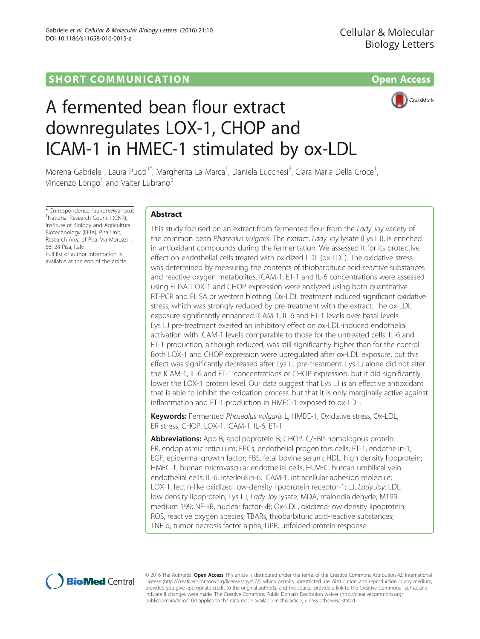

# A fermented bean flour extract downregulates LOX-1, CHOP and ICAM-1 in HMEC-1 stimulated by ox-LDL

Morena Gabriele<sup>1</sup>, Laura Pucci<sup>1\*</sup>, Margherita La Marca<sup>1</sup>, Daniela Lucchesi<sup>3</sup>, Clara Maria Della Croce<sup>1</sup> , Vincenzo Longo<sup>1</sup> and Valter Lubrano<sup>2</sup>

\* Correspondence: [lauric16@yahoo.it](mailto:<?A3B2 twb=.27w?><?A3B2 tlsb=-.02pt?>lauric16@yahoo.it) <sup>1</sup> <sup>1</sup>National Research Council (CNR) Institute of Biology and Agricultural Biotechnology (IBBA), Pisa Unit, Research Area of Pisa, Via Moruzzi 1, 56124 Pisa, Italy Full list of author information is available at the end of the article

# Abstract

This study focused on an extract from fermented flour from the Lady Joy variety of the common bean Phaseolus vulgaris. The extract, Lady Joy lysate (Lys LJ), is enriched in antioxidant compounds during the fermentation. We assessed it for its protective effect on endothelial cells treated with oxidized-LDL (ox-LDL). The oxidative stress was determined by measuring the contents of thiobarbituric acid-reactive substances and reactive oxygen metabolites. ICAM-1, ET-1 and IL-6 concentrations were assessed using ELISA. LOX-1 and CHOP expression were analyzed using both quantitative RT-PCR and ELISA or western blotting. Ox-LDL treatment induced significant oxidative stress, which was strongly reduced by pre-treatment with the extract. The ox-LDL exposure significantly enhanced ICAM-1, IL-6 and ET-1 levels over basal levels. Lys LJ pre-treatment exerted an inhibitory effect on ox-LDL-induced endothelial activation with ICAM-1 levels comparable to those for the untreated cells. IL-6 and ET-1 production, although reduced, was still significantly higher than for the control. Both LOX-1 and CHOP expression were upregulated after ox-LDL exposure, but this effect was significantly decreased after Lys LJ pre-treatment. Lys LJ alone did not alter the ICAM-1, IL-6 and ET-1 concentrations or CHOP expression, but it did significantly lower the LOX-1 protein level. Our data suggest that Lys LJ is an effective antioxidant that is able to inhibit the oxidation process, but that it is only marginally active against inflammation and ET-1 production in HMEC-1 exposed to ox-LDL.

Keywords: Fermented Phaseolus vulgaris L, HMEC-1, Oxidative stress, Ox-LDL, ER stress, CHOP, LOX-1, ICAM-1, IL-6, ET-1

Abbreviations: Apo B, apolipoprotein B; CHOP, C/EBP-homologous protein; ER, endoplasmic reticulum; EPCs, endothelial progenitors cells; ET-1, endothelin-1; EGF, epidermal growth factor; FBS, fetal bovine serum; HDL, high density lipoprotein; HMEC-1, human microvascular endothelial cells; HUVEC, human umbilical vein endothelial cells; IL-6, interleukin-6; ICAM-1, intracellular adhesion molecule; LOX-1, lectin-like oxidized low-density lipoprotein receptor-1; LJ, Lady Joy; LDL, low density lipoprotein; Lys LJ, Lady Joy lysate; MDA, malondialdehyde; M199, medium 199; NF-kB, nuclear factor-kB; Ox-LDL, oxidized-low density lipoprotein; ROS, reactive oxygen species; TBARs, thiobarbituric acid-reactive substances; TNF-α, tumor necrosis factor alpha; UPR, unfolded protein response



© 2016 The Author(s). Open Access This article is distributed under the terms of the Creative Commons Attribution 4.0 International License ([http://creativecommons.org/licenses/by/4.0/\)](http://creativecommons.org/licenses/by/4.0/), which permits unrestricted use, distribution, and reproduction in any medium, provided you give appropriate credit to the original author(s) and the source, provide a link to the Creative Commons license, and indicate if changes were made. The Creative Commons Public Domain Dedication waiver ([http://creativecommons.org/](http://creativecommons.org/publicdomain/zero/1.0/) [publicdomain/zero/1.0/\)](http://creativecommons.org/publicdomain/zero/1.0/) applies to the data made available in this article, unless otherwise stated.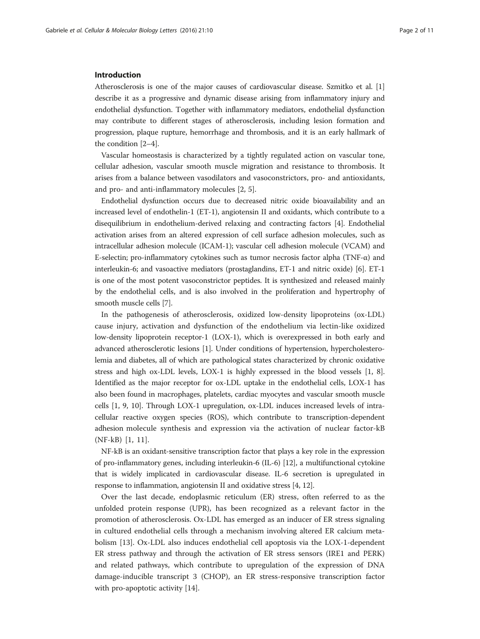#### Introduction

Atherosclerosis is one of the major causes of cardiovascular disease. Szmitko et al. [[1](#page-9-0)] describe it as a progressive and dynamic disease arising from inflammatory injury and endothelial dysfunction. Together with inflammatory mediators, endothelial dysfunction may contribute to different stages of atherosclerosis, including lesion formation and progression, plaque rupture, hemorrhage and thrombosis, and it is an early hallmark of the condition [[2](#page-9-0)–[4](#page-9-0)].

Vascular homeostasis is characterized by a tightly regulated action on vascular tone, cellular adhesion, vascular smooth muscle migration and resistance to thrombosis. It arises from a balance between vasodilators and vasoconstrictors, pro- and antioxidants, and pro- and anti-inflammatory molecules [[2, 5\]](#page-9-0).

Endothelial dysfunction occurs due to decreased nitric oxide bioavailability and an increased level of endothelin-1 (ET-1), angiotensin II and oxidants, which contribute to a disequilibrium in endothelium-derived relaxing and contracting factors [\[4](#page-9-0)]. Endothelial activation arises from an altered expression of cell surface adhesion molecules, such as intracellular adhesion molecule (ICAM-1); vascular cell adhesion molecule (VCAM) and E-selectin; pro-inflammatory cytokines such as tumor necrosis factor alpha (TNF- $\alpha$ ) and interleukin-6; and vasoactive mediators (prostaglandins, ET-1 and nitric oxide) [\[6](#page-9-0)]. ET-1 is one of the most potent vasoconstrictor peptides. It is synthesized and released mainly by the endothelial cells, and is also involved in the proliferation and hypertrophy of smooth muscle cells [\[7](#page-9-0)].

In the pathogenesis of atherosclerosis, oxidized low-density lipoproteins (ox-LDL) cause injury, activation and dysfunction of the endothelium via lectin-like oxidized low-density lipoprotein receptor-1 (LOX-1), which is overexpressed in both early and advanced atherosclerotic lesions [\[1](#page-9-0)]. Under conditions of hypertension, hypercholesterolemia and diabetes, all of which are pathological states characterized by chronic oxidative stress and high ox-LDL levels, LOX-1 is highly expressed in the blood vessels [\[1](#page-9-0), [8](#page-9-0)]. Identified as the major receptor for ox-LDL uptake in the endothelial cells, LOX-1 has also been found in macrophages, platelets, cardiac myocytes and vascular smooth muscle cells [[1](#page-9-0), [9](#page-9-0), [10](#page-9-0)]. Through LOX-1 upregulation, ox-LDL induces increased levels of intracellular reactive oxygen species (ROS), which contribute to transcription-dependent adhesion molecule synthesis and expression via the activation of nuclear factor-kB (NF-kB) [[1, 11\]](#page-9-0).

NF-kB is an oxidant-sensitive transcription factor that plays a key role in the expression of pro-inflammatory genes, including interleukin-6 (IL-6) [\[12\]](#page-10-0), a multifunctional cytokine that is widely implicated in cardiovascular disease. IL-6 secretion is upregulated in response to inflammation, angiotensin II and oxidative stress [[4,](#page-9-0) [12](#page-10-0)].

Over the last decade, endoplasmic reticulum (ER) stress, often referred to as the unfolded protein response (UPR), has been recognized as a relevant factor in the promotion of atherosclerosis. Ox-LDL has emerged as an inducer of ER stress signaling in cultured endothelial cells through a mechanism involving altered ER calcium metabolism [[13\]](#page-10-0). Ox-LDL also induces endothelial cell apoptosis via the LOX-1-dependent ER stress pathway and through the activation of ER stress sensors (IRE1 and PERK) and related pathways, which contribute to upregulation of the expression of DNA damage-inducible transcript 3 (CHOP), an ER stress-responsive transcription factor with pro-apoptotic activity [[14](#page-10-0)].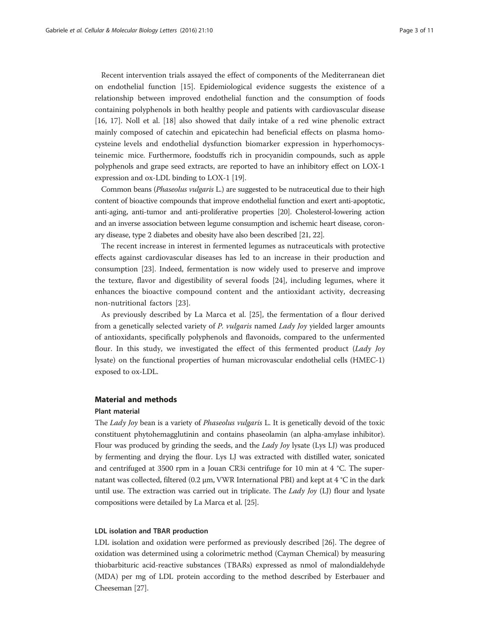Recent intervention trials assayed the effect of components of the Mediterranean diet on endothelial function [\[15](#page-10-0)]. Epidemiological evidence suggests the existence of a relationship between improved endothelial function and the consumption of foods containing polyphenols in both healthy people and patients with cardiovascular disease [[16, 17\]](#page-10-0). Noll et al. [[18](#page-10-0)] also showed that daily intake of a red wine phenolic extract mainly composed of catechin and epicatechin had beneficial effects on plasma homocysteine levels and endothelial dysfunction biomarker expression in hyperhomocysteinemic mice. Furthermore, foodstuffs rich in procyanidin compounds, such as apple polyphenols and grape seed extracts, are reported to have an inhibitory effect on LOX-1 expression and ox-LDL binding to LOX-1 [[19\]](#page-10-0).

Common beans (Phaseolus vulgaris L.) are suggested to be nutraceutical due to their high content of bioactive compounds that improve endothelial function and exert anti-apoptotic, anti-aging, anti-tumor and anti-proliferative properties [\[20\]](#page-10-0). Cholesterol-lowering action and an inverse association between legume consumption and ischemic heart disease, coronary disease, type 2 diabetes and obesity have also been described [\[21, 22\]](#page-10-0).

The recent increase in interest in fermented legumes as nutraceuticals with protective effects against cardiovascular diseases has led to an increase in their production and consumption [[23](#page-10-0)]. Indeed, fermentation is now widely used to preserve and improve the texture, flavor and digestibility of several foods [\[24](#page-10-0)], including legumes, where it enhances the bioactive compound content and the antioxidant activity, decreasing non-nutritional factors [[23\]](#page-10-0).

As previously described by La Marca et al. [\[25](#page-10-0)], the fermentation of a flour derived from a genetically selected variety of P. vulgaris named Lady Joy yielded larger amounts of antioxidants, specifically polyphenols and flavonoids, compared to the unfermented flour. In this study, we investigated the effect of this fermented product (Lady Joy lysate) on the functional properties of human microvascular endothelial cells (HMEC-1) exposed to ox-LDL.

## Material and methods

## Plant material

The *Lady Joy* bean is a variety of *Phaseolus vulgaris* L. It is genetically devoid of the toxic constituent phytohemagglutinin and contains phaseolamin (an alpha-amylase inhibitor). Flour was produced by grinding the seeds, and the *Lady Joy* lysate (Lys LJ) was produced by fermenting and drying the flour. Lys LJ was extracted with distilled water, sonicated and centrifuged at 3500 rpm in a Jouan CR3i centrifuge for 10 min at 4 °C. The supernatant was collected, filtered (0.2 μm, VWR International PBI) and kept at 4 °C in the dark until use. The extraction was carried out in triplicate. The Lady Joy (LJ) flour and lysate compositions were detailed by La Marca et al. [\[25](#page-10-0)].

#### LDL isolation and TBAR production

LDL isolation and oxidation were performed as previously described [[26](#page-10-0)]. The degree of oxidation was determined using a colorimetric method (Cayman Chemical) by measuring thiobarbituric acid-reactive substances (TBARs) expressed as nmol of malondialdehyde (MDA) per mg of LDL protein according to the method described by Esterbauer and Cheeseman [[27](#page-10-0)].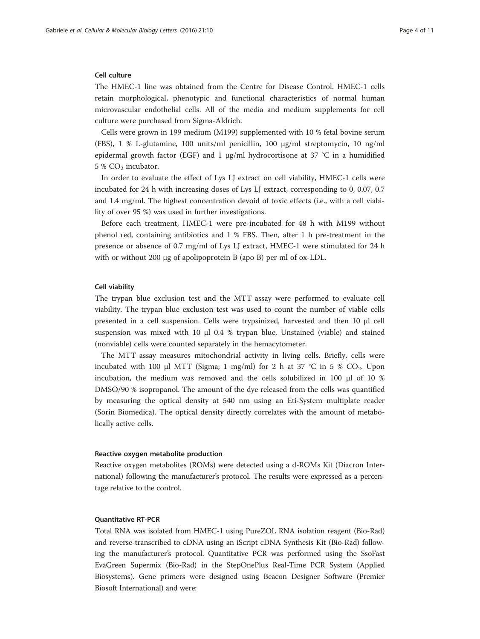## Cell culture

The HMEC-1 line was obtained from the Centre for Disease Control. HMEC-1 cells retain morphological, phenotypic and functional characteristics of normal human microvascular endothelial cells. All of the media and medium supplements for cell culture were purchased from Sigma-Aldrich.

Cells were grown in 199 medium (M199) supplemented with 10 % fetal bovine serum (FBS), 1 % L-glutamine, 100 units/ml penicillin, 100 μg/ml streptomycin, 10 ng/ml epidermal growth factor (EGF) and 1  $\mu$ g/ml hydrocortisone at 37 °C in a humidified  $5\%$  CO<sub>2</sub> incubator.

In order to evaluate the effect of Lys LJ extract on cell viability, HMEC-1 cells were incubated for 24 h with increasing doses of Lys LJ extract, corresponding to 0, 0.07, 0.7 and 1.4 mg/ml. The highest concentration devoid of toxic effects (i.e., with a cell viability of over 95 %) was used in further investigations.

Before each treatment, HMEC-1 were pre-incubated for 48 h with M199 without phenol red, containing antibiotics and 1 % FBS. Then, after 1 h pre-treatment in the presence or absence of 0.7 mg/ml of Lys LJ extract, HMEC-1 were stimulated for 24 h with or without 200 μg of apolipoprotein B (apo B) per ml of ox-LDL.

#### Cell viability

The trypan blue exclusion test and the MTT assay were performed to evaluate cell viability. The trypan blue exclusion test was used to count the number of viable cells presented in a cell suspension. Cells were trypsinized, harvested and then 10 μl cell suspension was mixed with 10 μl 0.4 % trypan blue. Unstained (viable) and stained (nonviable) cells were counted separately in the hemacytometer.

The MTT assay measures mitochondrial activity in living cells. Briefly, cells were incubated with 100 μl MTT (Sigma; 1 mg/ml) for 2 h at 37 °C in 5 %  $CO_2$ . Upon incubation, the medium was removed and the cells solubilized in 100 μl of 10 % DMSO/90 % isopropanol. The amount of the dye released from the cells was quantified by measuring the optical density at 540 nm using an Eti-System multiplate reader (Sorin Biomedica). The optical density directly correlates with the amount of metabolically active cells.

#### Reactive oxygen metabolite production

Reactive oxygen metabolites (ROMs) were detected using a d-ROMs Kit (Diacron International) following the manufacturer's protocol. The results were expressed as a percentage relative to the control.

#### Quantitative RT-PCR

Total RNA was isolated from HMEC-1 using PureZOL RNA isolation reagent (Bio-Rad) and reverse-transcribed to cDNA using an iScript cDNA Synthesis Kit (Bio-Rad) following the manufacturer's protocol. Quantitative PCR was performed using the SsoFast EvaGreen Supermix (Bio-Rad) in the StepOnePlus Real-Time PCR System (Applied Biosystems). Gene primers were designed using Beacon Designer Software (Premier Biosoft International) and were: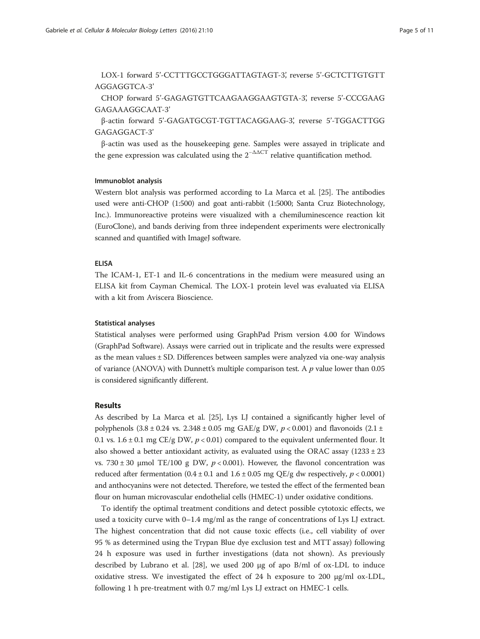LOX-1 forward 5'-CCTTTGCCTGGGATTAGTAGT-3', reverse 5'-GCTCTTGTGTT AGGAGGTCA-3'

CHOP forward 5'-GAGAGTGTTCAAGAAGGAAGTGTA-3', reverse 5'-CCCGAAG GAGAAAGGCAAT-3'

β-actin forward 5'-GAGATGCGT-TGTTACAGGAAG-3', reverse 5'-TGGACTTGG GAGAGGACT-3'

β-actin was used as the housekeeping gene. Samples were assayed in triplicate and the gene expression was calculated using the  $2^{-\Delta\Delta CT}$  relative quantification method.

## Immunoblot analysis

Western blot analysis was performed according to La Marca et al. [\[25](#page-10-0)]. The antibodies used were anti-CHOP (1:500) and goat anti-rabbit (1:5000; Santa Cruz Biotechnology, Inc.). Immunoreactive proteins were visualized with a chemiluminescence reaction kit (EuroClone), and bands deriving from three independent experiments were electronically scanned and quantified with ImageJ software.

## ELISA

The ICAM-1, ET-1 and IL-6 concentrations in the medium were measured using an ELISA kit from Cayman Chemical. The LOX-1 protein level was evaluated via ELISA with a kit from Aviscera Bioscience.

## Statistical analyses

Statistical analyses were performed using GraphPad Prism version 4.00 for Windows (GraphPad Software). Assays were carried out in triplicate and the results were expressed as the mean values  $\pm$  SD. Differences between samples were analyzed via one-way analysis of variance (ANOVA) with Dunnett's multiple comparison test. A  $p$  value lower than 0.05 is considered significantly different.

## Results

As described by La Marca et al. [\[25\]](#page-10-0), Lys LJ contained a significantly higher level of polyphenols  $(3.8 \pm 0.24 \text{ vs. } 2.348 \pm 0.05 \text{ mg } \text{GAE/g DW}, p < 0.001)$  and flavonoids  $(2.1 \pm$ 0.1 vs.  $1.6 \pm 0.1$  mg CE/g DW,  $p < 0.01$ ) compared to the equivalent unfermented flour. It also showed a better antioxidant activity, as evaluated using the ORAC assay  $(1233 \pm 23)$ vs. 730 ± 30 μmol TE/100 g DW,  $p < 0.001$ ). However, the flavonol concentration was reduced after fermentation  $(0.4 \pm 0.1$  and  $1.6 \pm 0.05$  mg QE/g dw respectively,  $p < 0.0001$ ) and anthocyanins were not detected. Therefore, we tested the effect of the fermented bean flour on human microvascular endothelial cells (HMEC-1) under oxidative conditions.

To identify the optimal treatment conditions and detect possible cytotoxic effects, we used a toxicity curve with 0–1.4 mg/ml as the range of concentrations of Lys LJ extract. The highest concentration that did not cause toxic effects (i.e., cell viability of over 95 % as determined using the Trypan Blue dye exclusion test and MTT assay) following 24 h exposure was used in further investigations (data not shown). As previously described by Lubrano et al. [[28\]](#page-10-0), we used 200 μg of apo B/ml of ox-LDL to induce oxidative stress. We investigated the effect of 24 h exposure to 200  $\mu$ g/ml ox-LDL, following 1 h pre-treatment with 0.7 mg/ml Lys LJ extract on HMEC-1 cells.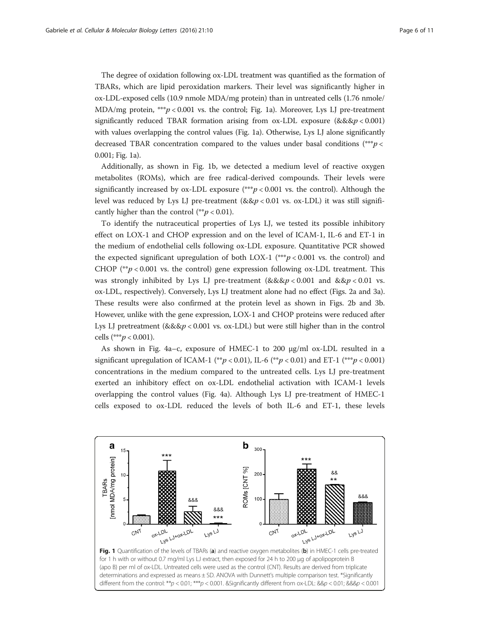The degree of oxidation following ox-LDL treatment was quantified as the formation of TBARs, which are lipid peroxidation markers. Their level was significantly higher in ox-LDL-exposed cells (10.9 nmole MDA/mg protein) than in untreated cells (1.76 nmole/ MDA/mg protein, \*\*\* $p < 0.001$  vs. the control; Fig. 1a). Moreover, Lys LJ pre-treatment significantly reduced TBAR formation arising from  $ox-LDL$  exposure (&&&p < 0.001) with values overlapping the control values (Fig. 1a). Otherwise, Lys LJ alone significantly decreased TBAR concentration compared to the values under basal conditions (\*\*\*p < 0.001; Fig. 1a).

Additionally, as shown in Fig. 1b, we detected a medium level of reactive oxygen metabolites (ROMs), which are free radical-derived compounds. Their levels were significantly increased by  $\alpha$ -LDL exposure (\*\*\* $p < 0.001$  vs. the control). Although the level was reduced by Lys LJ pre-treatment  $(&&p<0.01$  vs. ox-LDL) it was still significantly higher than the control (\*\*p < 0.01).

To identify the nutraceutical properties of Lys LJ, we tested its possible inhibitory effect on LOX-1 and CHOP expression and on the level of ICAM-1, IL-6 and ET-1 in the medium of endothelial cells following ox-LDL exposure. Quantitative PCR showed the expected significant upregulation of both LOX-1 (\*\*\* $p < 0.001$  vs. the control) and CHOP ( $^{**}p < 0.001$  vs. the control) gene expression following ox-LDL treatment. This was strongly inhibited by Lys LJ pre-treatment  $\left(\&\&\wp\right) < 0.001$  and  $\&\&p < 0.01$  vs. ox-LDL, respectively). Conversely, Lys LJ treatment alone had no effect (Figs. [2a](#page-6-0) and [3a](#page-6-0)). These results were also confirmed at the protein level as shown in Figs. [2b](#page-6-0) and [3b](#page-6-0). However, unlike with the gene expression, LOX-1 and CHOP proteins were reduced after Lys LJ pretreatment  $(&&&p < 0.001$  vs. ox-LDL) but were still higher than in the control cells (\*\*\* $p < 0.001$ ).

As shown in Fig. [4a](#page-7-0)–c, exposure of HMEC-1 to 200 μg/ml ox-LDL resulted in a significant upregulation of ICAM-1 (\*\*p < 0.01), IL-6 (\*\*p < 0.01) and ET-1 (\*\*\*p < 0.001) concentrations in the medium compared to the untreated cells. Lys LJ pre-treatment exerted an inhibitory effect on ox-LDL endothelial activation with ICAM-1 levels overlapping the control values (Fig. [4a](#page-7-0)). Although Lys LJ pre-treatment of HMEC-1 cells exposed to ox-LDL reduced the levels of both IL-6 and ET-1, these levels

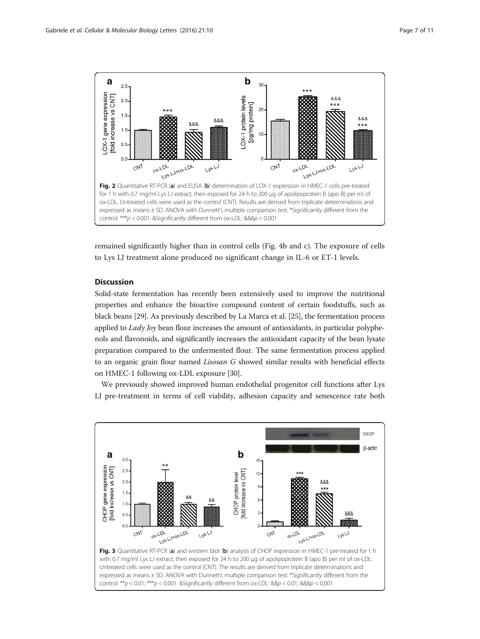<span id="page-6-0"></span>

remained significantly higher than in control cells (Fig. [4b and c\)](#page-7-0). The exposure of cells to Lys LJ treatment alone produced no significant change in IL-6 or ET-1 levels.

## **Discussion**

Solid-state fermentation has recently been extensively used to improve the nutritional properties and enhance the bioactive compound content of certain foodstuffs, such as black beans [\[29](#page-10-0)]. As previously described by La Marca et al. [\[25\]](#page-10-0), the fermentation process applied to  $Lady$  *Joy* bean flour increases the amount of antioxidants, in particular polyphenols and flavonoids, and significantly increases the antioxidant capacity of the bean lysate preparation compared to the unfermented flour. The same fermentation process applied to an organic grain flour named Lisosan G showed similar results with beneficial effects on HMEC-1 following ox-LDL exposure [\[30\]](#page-10-0).

We previously showed improved human endothelial progenitor cell functions after Lys LJ pre-treatment in terms of cell viability, adhesion capacity and senescence rate both

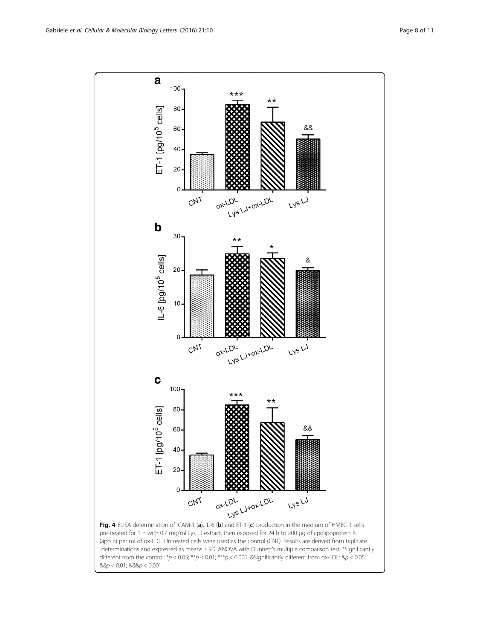<span id="page-7-0"></span>

determinations and expressed as means ± SD. ANOVA with Dunnett's multiple comparison test. \*Significantly different from the control:  $*p < 0.05$ ;  $**p < 0.01$ ;  $***p < 0.001$ . & Significantly different from ox-LDL: &  $p < 0.05$ ;  $&8p < 0.01;$   $&8p < 0.001$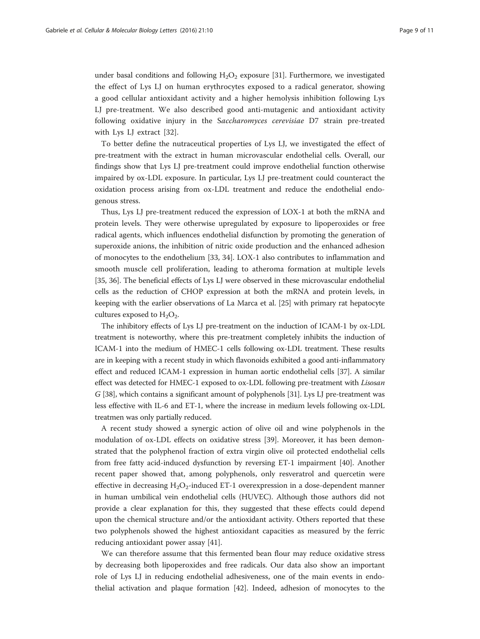under basal conditions and following  $H_2O_2$  exposure [[31](#page-10-0)]. Furthermore, we investigated the effect of Lys LJ on human erythrocytes exposed to a radical generator, showing a good cellular antioxidant activity and a higher hemolysis inhibition following Lys LJ pre-treatment. We also described good anti-mutagenic and antioxidant activity following oxidative injury in the Saccharomyces cerevisiae D7 strain pre-treated with Lys LJ extract [\[32](#page-10-0)].

To better define the nutraceutical properties of Lys LJ, we investigated the effect of pre-treatment with the extract in human microvascular endothelial cells. Overall, our findings show that Lys LJ pre-treatment could improve endothelial function otherwise impaired by ox-LDL exposure. In particular, Lys LJ pre-treatment could counteract the oxidation process arising from ox-LDL treatment and reduce the endothelial endogenous stress.

Thus, Lys LJ pre-treatment reduced the expression of LOX-1 at both the mRNA and protein levels. They were otherwise upregulated by exposure to lipoperoxides or free radical agents, which influences endothelial disfunction by promoting the generation of superoxide anions, the inhibition of nitric oxide production and the enhanced adhesion of monocytes to the endothelium [[33, 34\]](#page-10-0). LOX-1 also contributes to inflammation and smooth muscle cell proliferation, leading to atheroma formation at multiple levels [[35](#page-10-0), [36](#page-10-0)]. The beneficial effects of Lys LJ were observed in these microvascular endothelial cells as the reduction of CHOP expression at both the mRNA and protein levels, in keeping with the earlier observations of La Marca et al. [[25](#page-10-0)] with primary rat hepatocyte cultures exposed to  $H_2O_2$ .

The inhibitory effects of Lys LJ pre-treatment on the induction of ICAM-1 by ox-LDL treatment is noteworthy, where this pre-treatment completely inhibits the induction of ICAM-1 into the medium of HMEC-1 cells following ox-LDL treatment. These results are in keeping with a recent study in which flavonoids exhibited a good anti-inflammatory effect and reduced ICAM-1 expression in human aortic endothelial cells [[37](#page-10-0)]. A similar effect was detected for HMEC-1 exposed to ox-LDL following pre-treatment with Lisosan G [\[38](#page-10-0)], which contains a significant amount of polyphenols [[31](#page-10-0)]. Lys LJ pre-treatment was less effective with IL-6 and ET-1, where the increase in medium levels following ox-LDL treatmen was only partially reduced.

A recent study showed a synergic action of olive oil and wine polyphenols in the modulation of ox-LDL effects on oxidative stress [[39\]](#page-10-0). Moreover, it has been demonstrated that the polyphenol fraction of extra virgin olive oil protected endothelial cells from free fatty acid-induced dysfunction by reversing ET-1 impairment [\[40](#page-10-0)]. Another recent paper showed that, among polyphenols, only resveratrol and quercetin were effective in decreasing  $H_2O_2$ -induced ET-1 overexpression in a dose-dependent manner in human umbilical vein endothelial cells (HUVEC). Although those authors did not provide a clear explanation for this, they suggested that these effects could depend upon the chemical structure and/or the antioxidant activity. Others reported that these two polyphenols showed the highest antioxidant capacities as measured by the ferric reducing antioxidant power assay [[41](#page-10-0)].

We can therefore assume that this fermented bean flour may reduce oxidative stress by decreasing both lipoperoxides and free radicals. Our data also show an important role of Lys LJ in reducing endothelial adhesiveness, one of the main events in endothelial activation and plaque formation [\[42\]](#page-10-0). Indeed, adhesion of monocytes to the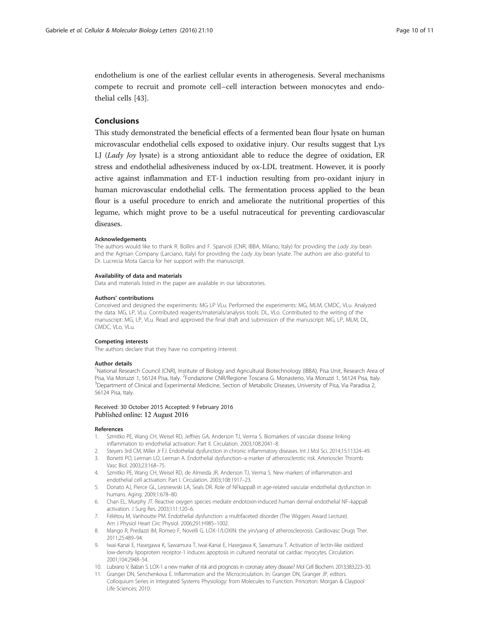<span id="page-9-0"></span>endothelium is one of the earliest cellular events in atherogenesis. Several mechanisms compete to recruit and promote cell–cell interaction between monocytes and endothelial cells [\[43](#page-10-0)].

#### Conclusions

This study demonstrated the beneficial effects of a fermented bean flour lysate on human microvascular endothelial cells exposed to oxidative injury. Our results suggest that Lys LJ (Lady Joy lysate) is a strong antioxidant able to reduce the degree of oxidation, ER stress and endothelial adhesiveness induced by ox-LDL treatment. However, it is poorly active against inflammation and ET-1 induction resulting from pro-oxidant injury in human microvascular endothelial cells. The fermentation process applied to the bean flour is a useful procedure to enrich and ameliorate the nutritional properties of this legume, which might prove to be a useful nutraceutical for preventing cardiovascular diseases.

#### Acknowledgements

The authors would like to thank R. Bollini and F. Sparvoli (CNR, IBBA, Milano, Italy) for providing the Lady Joy bean and the Agrisan Company (Larciano, Italy) for providing the Lady Joy bean lysate. The authors are also grateful to Dr. Lucrecia Mota Garcia for her support with the manuscript.

#### Availability of data and materials

Data and materials listed in the paper are available in our laboratories.

#### Authors' contributions

Conceived and designed the experiments: MG LP VLu. Performed the experiments: MG, MLM, CMDC, VLu. Analyzed the data: MG, LP, VLu. Contributed reagents/materials/analysis tools: DL, VLo. Contributed to the writing of the manuscript: MG, LP, VLu. Read and approved the final draft and submission of the manuscript: MG, LP, MLM, DL, CMDC, VLo, VLu.

#### Competing interests

The authors declare that they have no competing interest.

#### Author details

<sup>1</sup>National Research Council (CNR), Institute of Biology and Agricultural Biotechnology (IBBA), Pisa Unit, Research Area of Pisa, Via Moruzzi 1, 56124 Pisa, Italy. <sup>2</sup> Fondazione CNR/Regione Toscana G. Monasterio, Via Moruzzi 1, 56124 Pisa, Italy.<br><sup>3</sup> Donastment of Clinical and Experimental Modicine, Section of Motabelic Diseases, University of <sup>3</sup>Department of Clinical and Experimental Medicine, Section of Metabolic Diseases, University of Pisa, Via Paradisa 2, 56124 Pisa, Italy.

#### Received: 30 October 2015 Accepted: 9 February 2016 Published online: 12 August 2016

#### References

- 1. Szmitko PE, Wang CH, Weisel RD, Jeffries GA, Anderson TJ, Verma S. Biomarkers of vascular disease linking inflammation to endothelial activation: Part II. Circulation. 2003;108:2041–8.
- 2. Steyers 3rd CM, Miller Jr FJ. Endothelial dysfunction in chronic inflammatory diseases. Int J Mol Sci. 2014;15:11324–49.
- 3. Bonetti PO, Lerman LO, Lerman A. Endothelial dysfunction–a marker of atherosclerotic risk. Arterioscler Thromb Vasc Biol. 2003;23:168–75.
- 4. Szmitko PE, Wang CH, Weisel RD, de Almeida JR, Anderson TJ, Verma S. New markers of inflammation and endothelial cell activation: Part I. Circulation. 2003;108:1917–23.
- 5. Donato AJ, Pierce GL, Lesniewski LA, Seals DR. Role of NFkappaB in age-related vascular endothelial dysfunction in humans. Aging. 2009;1:678–80.
- 6. Chan EL, Murphy JT. Reactive oxygen species mediate endotoxin-induced human dermal endothelial NF–kappaB activation. J Surg Res. 2003;111:120–6.
- 7. Félétou M, Vanhoutte PM. Endothelial dysfunction: a multifaceted disorder (The Wiggers Award Lecture). Am J Physiol Heart Circ Physiol. 2006;291:H985–1002.
- 8. Mango R, Predazzi IM, Romeo F, Novelli G. LOX-1/LOXIN: the yin/yang of atheroscleorosis. Cardiovasc Drugs Ther. 2011;25:489–94.
- 9. Iwai-Kanai E, Hasegawa K, Sawamura T, Iwai-Kanai E, Hasegawa K, Sawamura T. Activation of lectin-like oxidized low-density lipoprotein receptor-1 induces apoptosis in cultured neonatal rat cardiac myocytes. Circulation. 2001;104:2948–54.
- 10. Lubrano V, Balzan S. LOX-1 a new marker of risk and prognosis in coronary artery disease? Mol Cell Biochem. 2013;383:223–30.
- 11. Granger DN, Senchenkova E. Inflammation and the Microcirculation. In: Granger DN, Granger JP, editors. Colloquium Series in Integrated Systems Physiology: from Molecules to Function. Princeton: Morgan & Claypool Life Sciences; 2010.